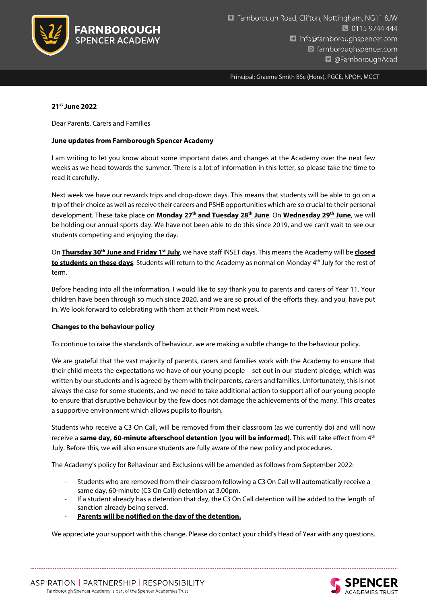

Principal: Graeme Smith BSc (Hons), PGCE, NPQH, MCCT

### 21st June 2022

Dear Parents, Carers and Families

### June updates from Farnborough Spencer Academy

I am writing to let you know about some important dates and changes at the Academy over the next few weeks as we head towards the summer. There is a lot of information in this letter, so please take the time to read it carefully.

Next week we have our rewards trips and drop-down days. This means that students will be able to go on a trip of their choice as well as receive their careers and PSHE opportunities which are so crucial to their personal development. These take place on Monday 27<sup>th</sup> and Tuesday 28<sup>th</sup> June. On Wednesday 29<sup>th</sup> June, we will be holding our annual sports day. We have not been able to do this since 2019, and we can't wait to see our students competing and enjoying the day.

On Thursday 30<sup>th</sup> June and Friday 1<sup>st</sup> July, we have staff INSET days. This means the Academy will be closed to students on these days. Students will return to the Academy as normal on Monday 4<sup>th</sup> July for the rest of term.

Before heading into all the information, I would like to say thank you to parents and carers of Year 11. Your children have been through so much since 2020, and we are so proud of the efforts they, and you, have put in. We look forward to celebrating with them at their Prom next week.

# Changes to the behaviour policy

To continue to raise the standards of behaviour, we are making a subtle change to the behaviour policy.

We are grateful that the vast majority of parents, carers and families work with the Academy to ensure that their child meets the expectations we have of our young people – set out in our student pledge, which was written by our students and is agreed by them with their parents, carers and families. Unfortunately, this is not always the case for some students, and we need to take additional action to support all of our young people to ensure that disruptive behaviour by the few does not damage the achievements of the many. This creates a supportive environment which allows pupils to flourish.

Students who receive a C3 On Call, will be removed from their classroom (as we currently do) and will now receive a same day, 60-minute afterschool detention (you will be informed). This will take effect from 4<sup>th</sup> July. Before this, we will also ensure students are fully aware of the new policy and procedures.

The Academy's policy for Behaviour and Exclusions will be amended as follows from September 2022:

- Students who are removed from their classroom following a C3 On Call will automatically receive a same day, 60-minute (C3 On Call) detention at 3.00pm.
- If a student already has a detention that day, the C3 On Call detention will be added to the length of sanction already being served.
- Parents will be notified on the day of the detention.

We appreciate your support with this change. Please do contact your child's Head of Year with any questions.

ASPIRATION | PARTNERSHIP | RESPONSIBILITY Farnborough Spencer Academy is part of the Spencer Academies Trust